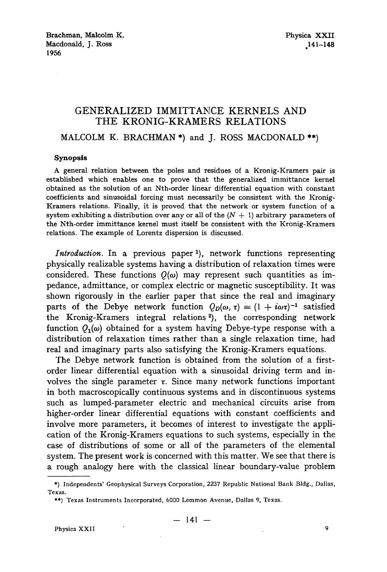## GENERALIZED IMMITTANCE KERNELS AND THE KRONIG-KRAMERS RELATIONS

MALCOLM K. BRACHMAN \*) and J. ROSS MACDONALD \*\*)

## **Synopsis**

A general relation between the poles and residues of a Kronig-Kramers pair is established which enables one to prove that the generalized immittance kernel obtained as the solution of an Nth-order linear differential equation with constant coefficients and sinusoidal forcing must necessarily be consistent with the Kronig-Kramers relations. Finally, it is proved that the network or system function of a system exhibiting a distribution over any or all of the  $(N + 1)$  arbitrary parameters of the Nth-order immittance kernel must itself be consistent with the Kronig-Kramers relations. The example of Lorentz dispersion is discussed.

*Introduction.* In a previous paper<sup>1</sup>), network functions representing physically realizable systems having a distribution of relaxation times were considered. These functions  $Q(\omega)$  may represent such quantities as impedance, admittance, or complex electric or magnetic susceptibility. It was shown rigorously in the earlier paper that since the real and imaginary parts of the Debye network function  $Q_D(\omega, \tau) \equiv (1 + i\omega\tau)^{-1}$  satisfied the Kronig-Kramers integral relations<sup>2</sup>), the corresponding network function  $Q_1(\omega)$  obtained for a system having Debye-type response with a distribution of relaxation times rather than a single relaxation time, had real and imaginary parts also satisfying the Kronig-Kramers equations.

The Debye network function is obtained from the solution of a firstorder linear differential equation with a sinusoidal driving term and involves the single parameter  $\tau$ . Since many network functions important in both macroscopically continuous systems and in discontinuous systems such as lumped-parameter electric and mechanical circuits arise from higher-order linear differential equations with constant coefficients and involve more parameters, it becomes of interest to investigate the application of the Kronig-Kramers equations to such systems, especially in the case of distributions of some or all of the parameters of the elemental system. The present work is concerned with this matter. We see that there is a rough analogy here with the classical linear boundary-value problem

<sup>\*)</sup> Independents' Geophysical Surveys Corporation, 2237 Republic National Bank Bldg., Dallas, Texas.

<sup>\*\*)</sup> Texas Instruments Incorporated, 6000 Lemmon Avenue, Dallas 9, Texas.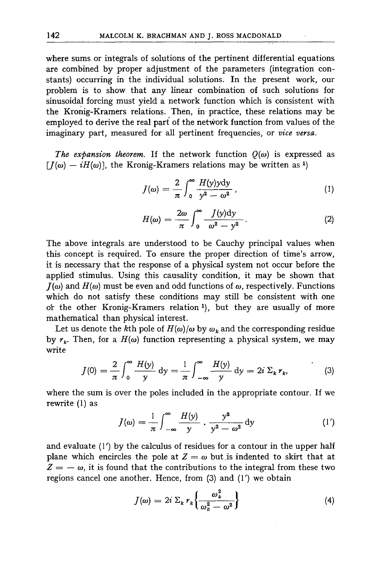where sums or integrals of solutions of the pertinent differential equations are combined by proper adjustment of the parameters (integration constants) occurring in the individual solutions. In the present work, our problem is to show that any linear combination of such solutions for sinusoidal forcing must yield a network function which is consistent with the Kronig-Kramers relations. Then, in practice, these relations may be employed to derive the real part of the network function from values of the imaginary part, measured for all pertinent frequencies, or *vice versa.* 

*The expansion theorem.* If the network function  $Q(\omega)$  is expressed as  $[I(\omega) - iH(\omega)]$ , the Kronig-Kramers relations may be written as <sup>1</sup>)

$$
J(\omega) = \frac{2}{\pi} \int_0^\infty \frac{H(y)y \mathrm{d}y}{y^2 - \omega^2}, \qquad (1)
$$

$$
H(\omega) = \frac{2\omega}{\pi} \int_0^\infty \frac{J(y)dy}{\omega^2 - y^2} \,. \tag{2}
$$

The above integrals are understood to be Cauchy principal values when this concept is required. To ensure the proper direction of time's arrow, it is necessary that the response of a physical system not occur before the applied stimulus. Using this causality condition, it may be shown that  $J(\omega)$  and  $H(\omega)$  must be even and odd functions of  $\omega$ , respectively. Functions which do not satisfy these conditions may still be consistent with one **o'r the other Kronig-Kramers relation 1), but they are usually of more**  mathematical than physical interest.

Let us denote the k<sup>th</sup> pole of  $H(\omega)/\omega$  by  $\omega_k$  and the corresponding residue by  $r_k$ . Then, for a  $H(\omega)$  function representing a physical system, we may write

$$
J(0) = \frac{2}{\pi} \int_0^\infty \frac{H(y)}{y} dy = \frac{1}{\pi} \int_{-\infty}^\infty \frac{H(y)}{y} dy = 2i \Sigma_k r_k,
$$
 (3)

where the sum is over the poles included in the appropriate contour. If we rewrite (1) as

$$
J(\omega) = \frac{1}{\pi} \int_{-\infty}^{\infty} \frac{H(y)}{y} \cdot \frac{y^2}{y^2 - \omega^2} \, \mathrm{d}y \tag{1'}
$$

and evaluate  $(1')$  by the calculus of residues for a contour in the upper half plane which encircles the pole at  $Z = \omega$  but is indented to skirt that at  $Z = -\omega$ , it is found that the contributions to the integral from these two regions cancel one another. Hence, from (3) and (1') we obtain

$$
J(\omega) = 2i \Sigma_k r_k \left\{ \frac{\omega_k^2}{\omega_k^2 - \omega^2} \right\} \tag{4}
$$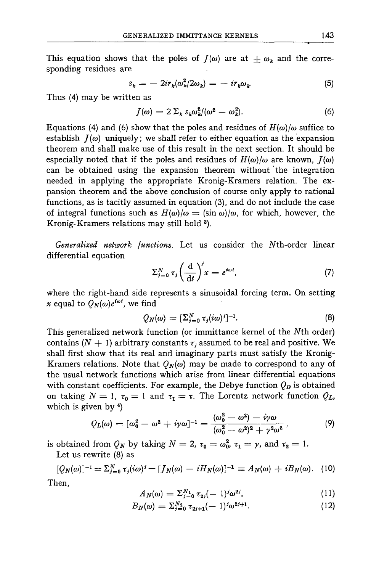This equation shows that the poles of  $J(\omega)$  are at  $\pm \omega_{\nu}$  and the corresponding residues are

$$
s_k = -2ir_k(\omega_k^2/2\omega_k) = -ir_k\omega_k. \tag{5}
$$

Thus (4) may be written as

$$
J(\omega) = 2 \sum_k s_k \omega_k^2 / (\omega^2 - \omega_k^2). \tag{6}
$$

Equations (4) and (6) show that the poles and residues of  $H(\omega)/\omega$  suffice to establish  $I(\omega)$  uniquely; we shall refer to either equation as the expansion theorem and shall make use of this result in the next section. It should be especially noted that if the poles and residues of  $H(\omega)/\omega$  are known,  $J(\omega)$ can be obtained using the expansion theorem without 'the integration needed in applying the appropriate Kronig-Kramers relation. The expansion theorem and the above conclusion of course only apply to rational functions, as is tacitly assumed in equation (3), and do not include the case of integral functions such as  $H(\omega)/\omega = (\sin \omega)/\omega$ , for which, however, the Kronig-Kramers relations may stiU hold 3).

*Generalized network /unctions.* Let us consider the Nth-order linear differential equation

$$
\sum_{j=0}^{N} \tau_j \left(\frac{\mathrm{d}}{\mathrm{d}t}\right)^j x = e^{i\omega t},\tag{7}
$$

where the right-hand side represents a sinusoidal forcing term. On setting x equal to  $Q_N(\omega)e^{i\omega t}$ , we find

$$
Q_N(\omega) = [\Sigma_{j=0}^N \tau_j(i\omega)^j]^{-1}.
$$
\n(8)

This generalized network function (or immittance kernel of the Nth order) contains  $(N + 1)$  arbitrary constants  $\tau$ , assumed to be real and positive. We shall first show that its real and imaginary parts must satisfy the Kronig-Kramers relations. Note that  $Q_N(\omega)$  may be made to correspond to any of the usual network functions which arise from linear differential equations with constant coefficients. For example, the Debye function  $Q_D$  is obtained on taking  $N = 1$ ,  $\tau_0 = 1$  and  $\tau_1 = \tau$ . The Lorentz network function  $Q_L$ , which is given by 4)

$$
Q_L(\omega) = [\omega_0^2 - \omega^2 + i\gamma\omega]^{-1} = \frac{(\omega_0^2 - \omega^2) - i\gamma\omega}{(\omega_0^2 - \omega^2)^2 + \gamma^2\omega^2},
$$
\n(9)

is obtained from  $Q_N$  by taking  $N = 2$ ,  $\tau_0 = \omega_0^2$ ,  $\tau_1 = \gamma$ , and  $\tau_2 = 1$ . Let us rewrite (8) as

$$
[Q_N(\omega)]^{-1} = \sum_{j=0}^N \tau_j(i\omega)^j = [J_N(\omega) - iH_N(\omega)]^{-1} \equiv A_N(\omega) + iB_N(\omega). \tag{10}
$$
  
Then,

$$
A_N(\omega) = \sum_{j=0}^{N_1} \tau_{2j}(-1)^j \omega^{2j}, \qquad (11)
$$

$$
B_N(\omega) = \sum_{j=0}^{N_2} \tau_{2j+1}(-1)^j \omega^{2j+1}.
$$
 (12)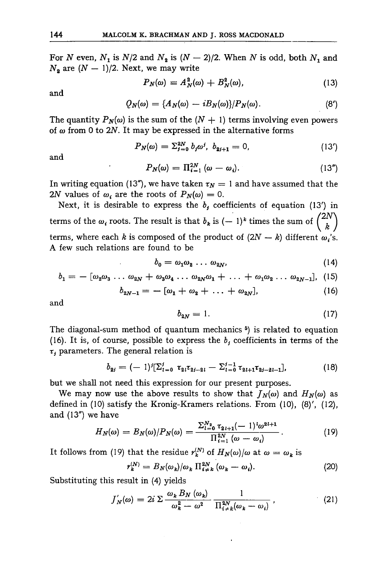For N even,  $N_1$  is  $N/2$  and  $N_2$  is  $(N-2)/2$ . When N is odd, both N, and  $N_2$  are  $(N - 1)/2$ . Next, we may write

$$
P_N(\omega) = A_N^2(\omega) + B_N^2(\omega), \qquad (13)
$$

and

$$
Q_N(\omega) = \{A_N(\omega) - iB_N(\omega)\}/P_N(\omega). \tag{8'}
$$

The quantity  $P_N(\omega)$  is the sum of the  $(N + 1)$  terms involving even powers of  $\omega$  from 0 to 2N. It may be expressed in the alternative forms

$$
P_N(\omega) = \sum_{j=0}^{2N} b_j \omega^j, \ b_{2j+1} = 0, \tag{13'}
$$

and

$$
P_N(\omega) = \Pi_{i=1}^{2N} \left( \omega - \omega_i \right). \tag{13''}
$$

In writing equation (13"), we have taken  $\tau_N = 1$  and have assumed that the 2N values of  $\omega$ , are the roots of  $P_N(\omega) = 0$ .

Next, it is desirable to express the  $b<sub>j</sub>$  coefficients of equation (13') in terms of the  $\omega_i$  roots. The result is that  $b_k$  is  $(-1)^k$  times the sum of  $\binom{2N}{k}$ terms, where each k is composed of the product of  $(2N - k)$  different  $\omega_i$ 's. A few such relations are found to be

$$
b_{0} = \omega_{1}\omega_{2} \ldots \omega_{2N}, \qquad (14)
$$

$$
b_1 = -[\omega_2 \omega_3 \ldots \omega_{2N} + \omega_3 \omega_4 \ldots \omega_{2N} \omega_1 + \ldots + \omega_1 \omega_2 \ldots \omega_{2N-1}], \quad (15)
$$

$$
b_{2N-1} = -[\omega_1 + \omega_2 + \ldots + \omega_{2N}], \qquad (16)
$$

and

$$
b_{2N} = 1. \tag{17}
$$

The diagonal-sum method of quantum mechanics<sup>5</sup>) is related to equation (16). It is, of course, possible to express the  $b_j$  coefficients in terms of the  $\tau_i$  parameters. The general relation is

$$
b_{2i} = (-1)^{i} \left[\sum_{l=0}^{i} \tau_{2l} \tau_{2i-2l} - \sum_{l=0}^{i-1} \tau_{2l+1} \tau_{2i-2l-1}\right],
$$
 (18)

but we shall not need this expression for our present purposes.

We may now use the above results to show that  $f_N(\omega)$  and  $H_N(\omega)$  as defined in (10) satisfy the Kronig-Kramers relations. From (10), (8)', (12), and (13") we have

$$
H_N(\omega) = B_N(\omega)/P_N(\omega) = \frac{\sum_{i=0}^{N_2} \tau_{2i+1}(-1)^i \omega^{2i+1}}{\prod_{i=1}^{2N} (\omega - \omega_i)}.
$$
 (19)

It follows from (19) that the residue  $r_k^{(N)}$  of  $H_N(\omega)/\omega$  at  $\omega = \omega_k$  is

$$
r_k^{(N)} = B_N(\omega_k)/\omega_k \Pi_{i \neq k}^{2N} (\omega_k - \omega_i). \tag{20}
$$

Substituting this result in (4) yields

$$
J'_{N}(\omega) = 2i \sum \frac{\omega_{k} B_{N} (\omega_{k})}{\omega_{k}^{2} - \omega^{2}} \frac{1}{\prod_{i \neq k}^{2N} (\omega_{k} - \omega_{i})},
$$
\n(21)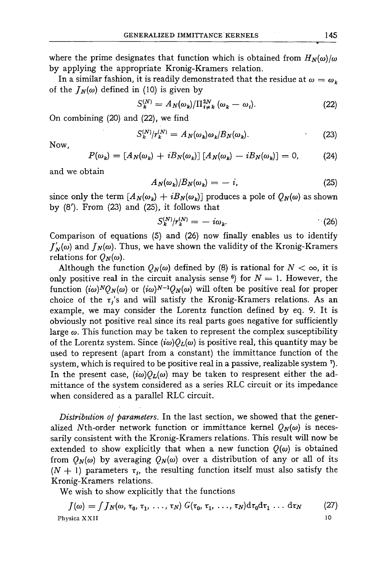where the prime designates that function which is obtained from  $H_N(\omega)/\omega$ by applying the appropriate Kronig-Kramers relation.

In a similar fashion, it is readily demonstrated that the residue at  $\omega = \omega_k$ of the  $J_N(\omega)$  defined in (10) is given by

$$
S_k^{(N)} = A_N(\omega_k) / \Pi_{i \neq k}^{2N} (\omega_k - \omega_i).
$$
 (22)

On combining (20) and (22), we find

$$
S_k^{(N)}/r_k^{(N)} = A_N(\omega_k)\omega_k/B_N(\omega_k). \tag{23}
$$

Now,

$$
P(\omega_k) = [A_N(\omega_k) + i B_N(\omega_k)] [A_N(\omega_k) - i B_N(\omega_k)] = 0, \qquad (24)
$$

and we obtain

$$
A_N(\omega_k)/B_N(\omega_k) = -i,\tag{25}
$$

since only the term  $[A_N(\omega_k) + iB_N(\omega_k)]$  produces a pole of  $Q_N(\omega)$  as shown by  $(8')$ . From  $(23)$  and  $(25)$ , it follows that

$$
S_k^{(N)}/r_k^{(N)} = -i\omega_k. \tag{26}
$$

Comparison of equations (5) and (26) now finally enables us to identify  $J_{N}(\omega)$  and  $J_{N}(\omega)$ . Thus, we have shown the validity of the Kronig-Kramers relations for  $Q_N(\omega)$ .

Although the function  $Q_N(\omega)$  defined by (8) is rational for  $N < \infty$ , it is only positive real in the circuit analysis sense  $\delta$  for  $N = 1$ . However, the function  $(i\omega)^N Q_N(\omega)$  or  $(i\omega)^{N-1} Q_N(\omega)$  will often be positive real for proper choice of the  $\tau_i$ 's and will satisfy the Kronig-Kramers relations. As an example, we may consider the Lorentz function defined by eq. 9. It is obviously not positive real since its real parts goes negative for sufficiently large  $\omega$ . This function may be taken to represent the complex susceptibility of the Lorentz system. Since  $(i\omega)Q_L(\omega)$  is positive real, this quantity may be used to represent (apart from a constant) the immittance function of the system, which is required to be positive real in a passive, realizable system 7). In the present case,  $(i\omega)O_L(\omega)$  may be taken to respresent either the admittance of the system considered as a series RLC circuit or its impedance when considered as a parallel RLC circuit.

*Distribution of parameters*. In the last section, we showed that the generalized Nth-order network function or immittance kernel  $Q_N(\omega)$  is necessarily consistent with the Kronig-Kramers relations. This result will now be extended to show explicitly that when a new function  $Q(\omega)$  is obtained from  $Q_N(\omega)$  by averaging  $Q_N(\omega)$  over a distribution of any or all of its  $(N + 1)$  parameters  $\tau_j$ , the resulting function itself must also satisfy the Kronig-Kramers relations.

We wish to show explicitly that the functions

 $J(\omega) = f J_N(\omega, \tau_0, \tau_1, \ldots, \tau_N) G(\tau_0, \tau_1, \ldots, \tau_N) d\tau_0 d\tau_1 \ldots d\tau_N$  (27) Physica XXII 10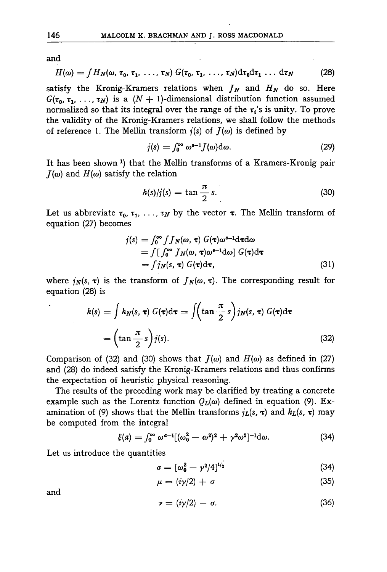and

$$
H(\omega) = f H_N(\omega, \tau_0, \tau_1, \ldots, \tau_N) G(\tau_0, \tau_1, \ldots, \tau_N) d\tau_0 d\tau_1 \ldots d\tau_N
$$
 (28)

satisfy the Kronig-Kramers relations when  $J_N$  and  $H_N$  do so. Here  $G(\tau_0, \tau_1, \ldots, \tau_N)$  is a  $(N + 1)$ -dimensional distribution function assumed normalized so that its integral over the range of the  $\tau_i$ 's is unity. To prove the validity of the Kronig-Kramers relations, we shall follow the methods of reference 1. The Mellin transform  $i(s)$  of  $J(\omega)$  is defined by

$$
j(s) = \int_0^\infty \omega^{s-1} J(\omega) d\omega.
$$
 (29)

It has been shown<sup>1</sup>) that the Mellin transforms of a Kramers-Kronig pair  $J(\omega)$  and  $H(\omega)$  satisfy the relation

$$
h(s)/j(s) = \tan \frac{\pi}{2} s.
$$
 (30)

Let us abbreviate  $\tau_0, \tau_1, \ldots, \tau_N$  by the vector  $\tau$ . The Mellin transform of equation (27) becomes

$$
j(s) = \int_0^\infty \int J_N(\omega, \tau) G(\tau) \omega^{s-1} d\tau d\omega
$$
  
= 
$$
\int [\int_0^\infty J_N(\omega, \tau) \omega^{s-1} d\omega] G(\tau) d\tau
$$
  
= 
$$
\int j_N(s, \tau) G(\tau) d\tau,
$$
 (31)

where  $j_N(s, \tau)$  is the transform of  $J_N(\omega, \tau)$ . The corresponding result for equation (28) is

$$
h(s) = \int h_N(s, \tau) G(\tau) d\tau = \int \left(\tan \frac{\pi}{2} s\right) j_N(s, \tau) G(\tau) d\tau
$$

$$
= \left(\tan \frac{\pi}{2} s\right) j(s).
$$
(32)

Comparison of (32) and (30) shows that  $J(\omega)$  and  $H(\omega)$  as defined in (27) and (28) do indeed satisfy the Kronig-Kramers relations and thus confirms the expectation of heuristic physical reasoning.

The results of the preceding work may be clarified by treating a concrete example such as the Lorentz function  $Q_L(\omega)$  defined in equation (9). Examination of (9) shows that the Mellin transforms  $j_L(s, \tau)$  and  $h_L(s, \tau)$  may be computed from the integral

$$
\xi(a) = \int_0^\infty \omega^{a-1} [(\omega_0^2 - \omega^2)^2 + \gamma^2 \omega^2]^{-1} d\omega.
$$
 (34)

Let us introduce the quantities

$$
\sigma = [\omega_0^2 - \gamma^2/4]^{1/2} \tag{34}
$$

$$
\mu = (i\gamma/2) + \sigma \tag{35}
$$

and

,

$$
v = (i\gamma/2) - \sigma. \tag{36}
$$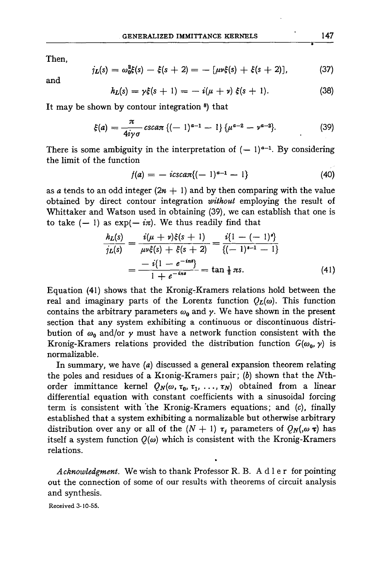Then,

$$
j_L(s) = \omega_0^2 \xi(s) - \xi(s+2) = -[\mu \nu \xi(s) + \xi(s+2)], \qquad (37)
$$

and

$$
h_L(s) = \gamma \xi(s+1) = -i(\mu + \nu) \xi(s+1). \tag{38}
$$

It may be shown by contour integration 8) that

$$
\xi(a) = \frac{\pi}{4i\gamma\sigma} \csc \alpha \left\{ (-1)^{a-1} - 1 \right\} \{ \mu^{a-2} - \nu^{a-2} \}. \tag{39}
$$

There is some ambiguity in the interpretation of  $(-1)^{a-1}$ . By considering the limit of the function

$$
f(a) = -icsc \pi \{(-1)^{a-1} - 1\}
$$
 (40)

as a tends to an odd integer  $(2n + 1)$  and by then comparing with the value obtained by direct contour integration *without* employing the result of Whittaker and Watson used in obtaining (39), we can establish that one is to take  $(-1)$  as  $exp(-i\pi)$ . We thus readily find that

$$
\frac{h_L(s)}{j_L(s)} = \frac{i(\mu + \nu)\xi(s + 1)}{\mu\nu\xi(s) + \xi(s + 2)} = \frac{i\{1 - (-1)^s\}}{\{(-1)^{s-1} - 1\}}
$$
\n
$$
= \frac{-i\{1 - e^{-in\theta}\}}{1 + e^{-in\theta}} = \tan \frac{1}{2}\pi s. \tag{41}
$$

Equation (41) shows that the Kronig-Kramers relations hold between the real and imaginary parts of the Lorentz function  $Q_L(\omega)$ . This function contains the arbitrary parameters  $\omega_0$  and  $\gamma$ . We have shown in the present section that any system exhibiting a continuous or discontinuous distribution of  $\omega_0$  and/or  $\gamma$  must have a network function consistent with the Kronig-Kramers relations provided the distribution function  $G(\omega_0, \gamma)$  is normalizable.

In summary, we have (a) discussed a general expansion theorem relating the poles and residues of a Kronig-Kramers pair;  $(b)$  shown that the Nthorder immittance kernel  $Q_N(\omega, \tau_0, \tau_1, \ldots, \tau_N)$  obtained from a linear differential equation with constant coefficients with a sinusoida] forcing term is consistent with "the Kronig-Kramers equations; and (c), finally established that a system exhibiting a normalizable but otherwise arbitrary distribution over any or all of the  $(N + 1) \tau_j$  parameters of  $Q_N(\omega \tau)$  has itself a system function  $Q(\omega)$  which is consistent with the Kronig-Kramers relations.

*Acknowledgment.* We wish to thank Professor R. B. A d 1 e r for pointing out the connection of some of our results with theorems of circuit analysis and synthesis.

t

Received 3-10-55.